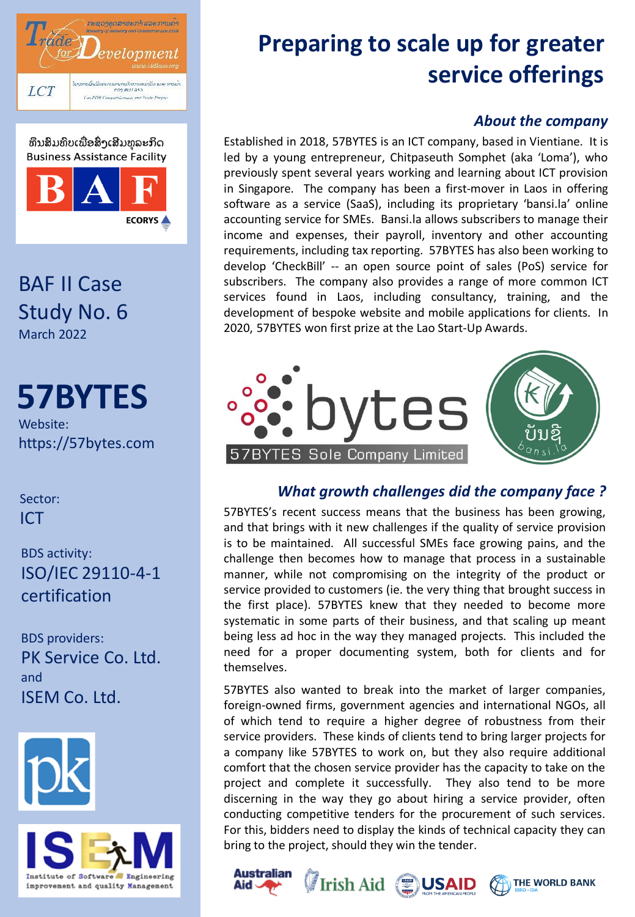



BAF II Case Study No. 6 March 2022

# **57BYTES**

Website: https://57bytes.com

Sector: ICT

BDS activity: ISO/IEC 29110-4-1 certification

BDS providers: PK Service Co. Ltd. and ISEM Co. Ltd.





## **Preparing to scale up for greater service offerings**

#### *About the company*

Established in 2018, 57BYTES is an ICT company, based in Vientiane. It is led by a young entrepreneur, Chitpaseuth Somphet (aka 'Loma'), who previously spent several years working and learning about ICT provision in Singapore. The company has been a first-mover in Laos in offering software as a service (SaaS), including its proprietary 'bansi.la' online accounting service for SMEs. Bansi.la allows subscribers to manage their income and expenses, their payroll, inventory and other accounting requirements, including tax reporting. 57BYTES has also been working to develop 'CheckBill' -- an open source point of sales (PoS) service for subscribers. The company also provides a range of more common ICT services found in Laos, including consultancy, training, and the development of bespoke website and mobile applications for clients. In 2020, 57BYTES won first prize at the Lao Start-Up Awards.



### *What growth challenges did the company face ?*

57BYTES's recent success means that the business has been growing, and that brings with it new challenges if the quality of service provision is to be maintained. All successful SMEs face growing pains, and the challenge then becomes how to manage that process in a sustainable manner, while not compromising on the integrity of the product or service provided to customers (ie. the very thing that brought success in the first place). 57BYTES knew that they needed to become more systematic in some parts of their business, and that scaling up meant being less ad hoc in the way they managed projects. This included the need for a proper documenting system, both for clients and for themselves.

57BYTES also wanted to break into the market of larger companies, foreign-owned firms, government agencies and international NGOs, all of which tend to require a higher degree of robustness from their service providers. These kinds of clients tend to bring larger projects for a company like 57BYTES to work on, but they also require additional comfort that the chosen service provider has the capacity to take on the project and complete it successfully. They also tend to be more discerning in the way they go about hiring a service provider, often conducting competitive tenders for the procurement of such services. For this, bidders need to display the kinds of technical capacity they can bring to the project, should they win the tender.